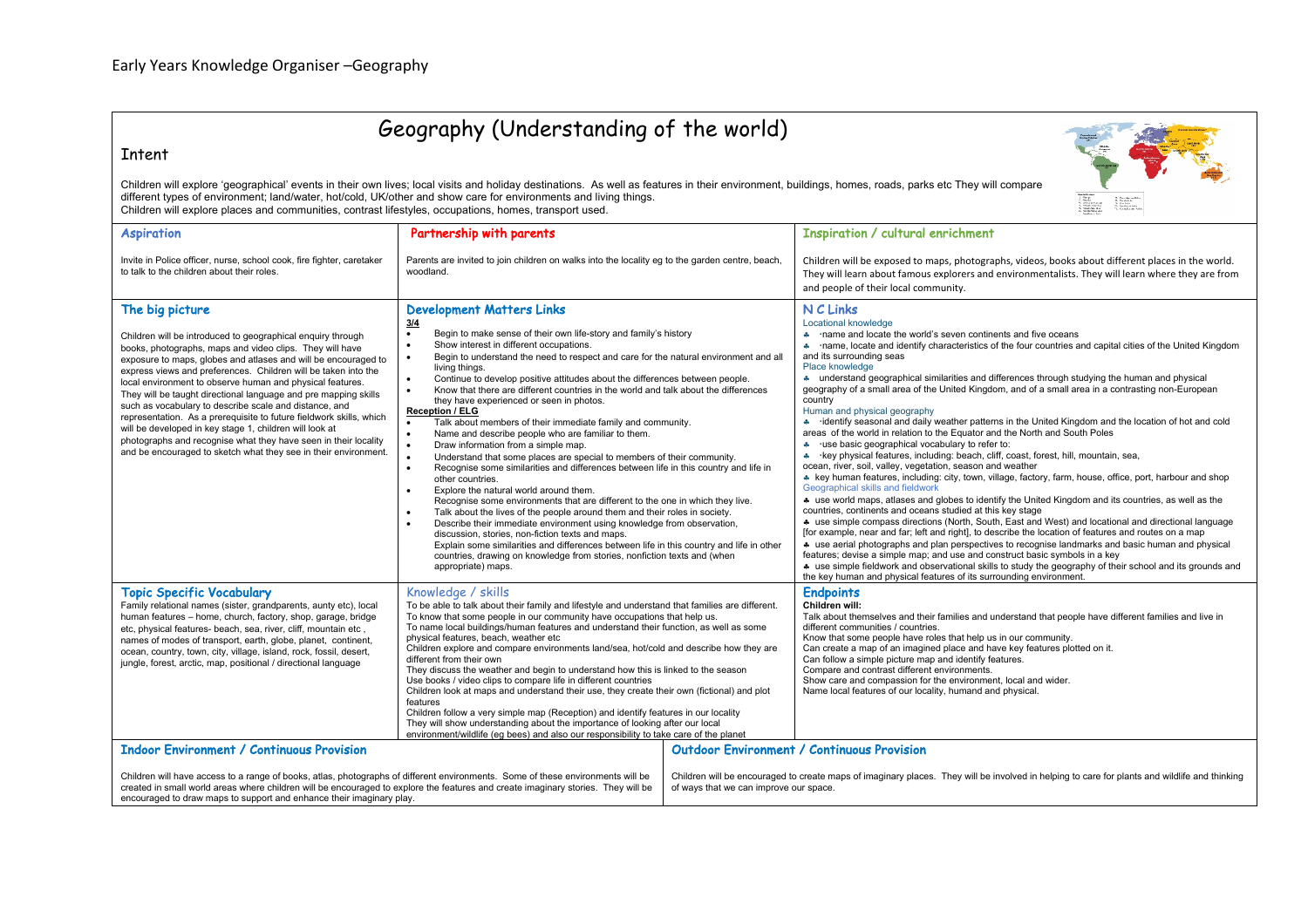| Geography (Understanding of the world)<br>Intent<br>Children will explore 'geographical' events in their own lives; local visits and holiday destinations. As well as features in their environment, buildings, homes, roads, parks etc They will compare<br>different types of environment; land/water, hot/cold, UK/other and show care for environments and living things.<br>Children will explore places and communities, contrast lifestyles, occupations, homes, transport used.                                                                                                                                                                                                                                                          |                                                                                                                                                                                                                                                                                                                                                                                                                                                                                                                                                                                                                                                                                                                                                                                                                                                                                                                                                                                                                                                                                                                                                                                                                                                                                                                                                                                                                                                                                                      |                                        |                                                                                                                                                                                                                                                                                                                                                                                                                                                                                                                                                                                                                                                                                                                                                                                                                                                                                                                                                                                                                                                                                                                                                                                                                                                                                                                                                                                                                                                                                                                                                                                                                                                                                                                                                                                    |
|--------------------------------------------------------------------------------------------------------------------------------------------------------------------------------------------------------------------------------------------------------------------------------------------------------------------------------------------------------------------------------------------------------------------------------------------------------------------------------------------------------------------------------------------------------------------------------------------------------------------------------------------------------------------------------------------------------------------------------------------------|------------------------------------------------------------------------------------------------------------------------------------------------------------------------------------------------------------------------------------------------------------------------------------------------------------------------------------------------------------------------------------------------------------------------------------------------------------------------------------------------------------------------------------------------------------------------------------------------------------------------------------------------------------------------------------------------------------------------------------------------------------------------------------------------------------------------------------------------------------------------------------------------------------------------------------------------------------------------------------------------------------------------------------------------------------------------------------------------------------------------------------------------------------------------------------------------------------------------------------------------------------------------------------------------------------------------------------------------------------------------------------------------------------------------------------------------------------------------------------------------------|----------------------------------------|------------------------------------------------------------------------------------------------------------------------------------------------------------------------------------------------------------------------------------------------------------------------------------------------------------------------------------------------------------------------------------------------------------------------------------------------------------------------------------------------------------------------------------------------------------------------------------------------------------------------------------------------------------------------------------------------------------------------------------------------------------------------------------------------------------------------------------------------------------------------------------------------------------------------------------------------------------------------------------------------------------------------------------------------------------------------------------------------------------------------------------------------------------------------------------------------------------------------------------------------------------------------------------------------------------------------------------------------------------------------------------------------------------------------------------------------------------------------------------------------------------------------------------------------------------------------------------------------------------------------------------------------------------------------------------------------------------------------------------------------------------------------------------|
| <b>Aspiration</b>                                                                                                                                                                                                                                                                                                                                                                                                                                                                                                                                                                                                                                                                                                                                | Partnership with parents                                                                                                                                                                                                                                                                                                                                                                                                                                                                                                                                                                                                                                                                                                                                                                                                                                                                                                                                                                                                                                                                                                                                                                                                                                                                                                                                                                                                                                                                             |                                        | <b>Inspiration / cultural enrichment</b>                                                                                                                                                                                                                                                                                                                                                                                                                                                                                                                                                                                                                                                                                                                                                                                                                                                                                                                                                                                                                                                                                                                                                                                                                                                                                                                                                                                                                                                                                                                                                                                                                                                                                                                                           |
| Invite in Police officer, nurse, school cook, fire fighter, caretaker<br>to talk to the children about their roles.                                                                                                                                                                                                                                                                                                                                                                                                                                                                                                                                                                                                                              | Parents are invited to join children on walks into the locality eg to the garden centre, beach,<br>woodland.                                                                                                                                                                                                                                                                                                                                                                                                                                                                                                                                                                                                                                                                                                                                                                                                                                                                                                                                                                                                                                                                                                                                                                                                                                                                                                                                                                                         |                                        | Children will be exposed to maps, photographs, videos, books about different places in the world.<br>They will learn about famous explorers and environmentalists. They will learn where they are from<br>and people of their local community.                                                                                                                                                                                                                                                                                                                                                                                                                                                                                                                                                                                                                                                                                                                                                                                                                                                                                                                                                                                                                                                                                                                                                                                                                                                                                                                                                                                                                                                                                                                                     |
| The big picture<br>Children will be introduced to geographical enquiry through<br>books, photographs, maps and video clips. They will have<br>exposure to maps, globes and atlases and will be encouraged to<br>express views and preferences. Children will be taken into the<br>local environment to observe human and physical features.<br>They will be taught directional language and pre mapping skills<br>such as vocabulary to describe scale and distance, and<br>representation. As a prerequisite to future fieldwork skills, which<br>will be developed in key stage 1, children will look at<br>photographs and recognise what they have seen in their locality<br>and be encouraged to sketch what they see in their environment. | <b>Development Matters Links</b><br>3/4<br>Begin to make sense of their own life-story and family's history<br>$\bullet$<br>Show interest in different occupations.<br>$\bullet$<br>Begin to understand the need to respect and care for the natural environment and all<br>living things.<br>Continue to develop positive attitudes about the differences between people.<br>$\bullet$<br>Know that there are different countries in the world and talk about the differences<br>they have experienced or seen in photos.<br><b>Reception / ELG</b><br>Talk about members of their immediate family and community.<br>$\bullet$<br>$\bullet$<br>Name and describe people who are familiar to them.<br>Draw information from a simple map.<br>Understand that some places are special to members of their community.<br>Recognise some similarities and differences between life in this country and life in<br>other countries.<br>Explore the natural world around them.<br>٠<br>Recognise some environments that are different to the one in which they live.<br>Talk about the lives of the people around them and their roles in society.<br>$\bullet$<br>Describe their immediate environment using knowledge from observation,<br>$\bullet$<br>discussion, stories, non-fiction texts and maps.<br>Explain some similarities and differences between life in this country and life in other<br>countries, drawing on knowledge from stories, nonfiction texts and (when<br>appropriate) maps. |                                        | N C Links<br>Locational knowledge<br>* name and locate the world's seven continents and five oceans<br>name, locate and identify characteristics of the four countries and capital cities of the United Kingdom<br>and its surrounding seas<br>Place knowledge<br>* understand geographical similarities and differences through studying the human and physical<br>geography of a small area of the United Kingdom, and of a small area in a contrasting non-European<br>country<br>Human and physical geography<br>a identify seasonal and daily weather patterns in the United Kingdom and the location of hot and cold<br>areas of the world in relation to the Equator and the North and South Poles<br>* use basic geographical vocabulary to refer to:<br>key physical features, including: beach, cliff, coast, forest, hill, mountain, sea,<br>$\frac{1}{2}$<br>ocean, river, soil, valley, vegetation, season and weather<br>* key human features, including: city, town, village, factory, farm, house, office, port, harbour and shop<br>Geographical skills and fieldwork<br>* use world maps, atlases and globes to identify the United Kingdom and its countries, as well as the<br>countries, continents and oceans studied at this key stage<br>* use simple compass directions (North, South, East and West) and locational and directional language<br>[for example, near and far; left and right], to describe the location of features and routes on a map<br>* use aerial photographs and plan perspectives to recognise landmarks and basic human and physical<br>features; devise a simple map; and use and construct basic symbols in a key<br>* use simple fieldwork and observational skills to study the geography of their school and its grounds and |
| <b>Topic Specific Vocabulary</b><br>Family relational names (sister, grandparents, aunty etc), local<br>human features - home, church, factory, shop, garage, bridge<br>etc, physical features- beach, sea, river, cliff, mountain etc,<br>names of modes of transport, earth, globe, planet, continent,<br>ocean, country, town, city, village, island, rock, fossil, desert,<br>jungle, forest, arctic, map, positional / directional language                                                                                                                                                                                                                                                                                                 | Knowledge / skills<br>To be able to talk about their family and lifestyle and understand that families are different.<br>To know that some people in our community have occupations that help us.<br>To name local buildings/human features and understand their function, as well as some<br>physical features, beach, weather etc<br>Children explore and compare environments land/sea, hot/cold and describe how they are<br>different from their own<br>They discuss the weather and begin to understand how this is linked to the season<br>Use books / video clips to compare life in different countries<br>Children look at maps and understand their use, they create their own (fictional) and plot<br>features<br>Children follow a very simple map (Reception) and identify features in our locality<br>They will show understanding about the importance of looking after our local<br>environment/wildlife (eg bees) and also our responsibility to take care of the planet                                                                                                                                                                                                                                                                                                                                                                                                                                                                                                           |                                        | the key human and physical features of its surrounding environment.<br><b>Endpoints</b><br>Children will:<br>Talk about themselves and their families and understand that people have different families and live in<br>different communities / countries.<br>Know that some people have roles that help us in our community.<br>Can create a map of an imagined place and have key features plotted on it.<br>Can follow a simple picture map and identify features.<br>Compare and contrast different environments.<br>Show care and compassion for the environment, local and wider.<br>Name local features of our locality, humand and physical.                                                                                                                                                                                                                                                                                                                                                                                                                                                                                                                                                                                                                                                                                                                                                                                                                                                                                                                                                                                                                                                                                                                               |
| <b>Indoor Environment / Continuous Provision</b>                                                                                                                                                                                                                                                                                                                                                                                                                                                                                                                                                                                                                                                                                                 |                                                                                                                                                                                                                                                                                                                                                                                                                                                                                                                                                                                                                                                                                                                                                                                                                                                                                                                                                                                                                                                                                                                                                                                                                                                                                                                                                                                                                                                                                                      |                                        | <b>Outdoor Environment / Continuous Provision</b>                                                                                                                                                                                                                                                                                                                                                                                                                                                                                                                                                                                                                                                                                                                                                                                                                                                                                                                                                                                                                                                                                                                                                                                                                                                                                                                                                                                                                                                                                                                                                                                                                                                                                                                                  |
| Children will have access to a range of books, atlas, photographs of different environments. Some of these environments will be<br>created in small world areas where children will be encouraged to explore the features and create imaginary stories. They will be<br>encouraged to draw maps to support and enhance their imaginary play.                                                                                                                                                                                                                                                                                                                                                                                                     |                                                                                                                                                                                                                                                                                                                                                                                                                                                                                                                                                                                                                                                                                                                                                                                                                                                                                                                                                                                                                                                                                                                                                                                                                                                                                                                                                                                                                                                                                                      | of ways that we can improve our space. | Children will be encouraged to create maps of imaginary places. They will be involved in helping to care for plants and wildlife and thinking                                                                                                                                                                                                                                                                                                                                                                                                                                                                                                                                                                                                                                                                                                                                                                                                                                                                                                                                                                                                                                                                                                                                                                                                                                                                                                                                                                                                                                                                                                                                                                                                                                      |